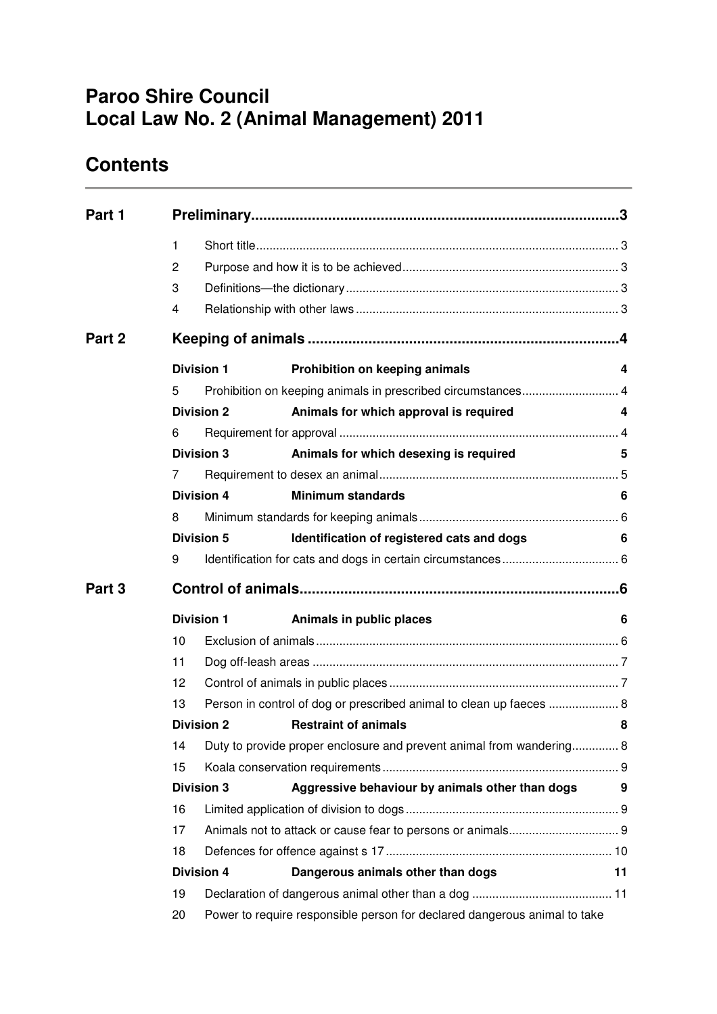# **Paroo Shire Council Local Law No. 2 (Animal Management) 2011**

# **Contents**

| Part 1 |                   |                                                                           |                                                                      |    |  |  |
|--------|-------------------|---------------------------------------------------------------------------|----------------------------------------------------------------------|----|--|--|
|        | 1                 |                                                                           |                                                                      |    |  |  |
|        | $\mathbf{2}$      |                                                                           |                                                                      |    |  |  |
|        | 3                 |                                                                           |                                                                      |    |  |  |
|        | 4                 |                                                                           |                                                                      |    |  |  |
| Part 2 |                   |                                                                           |                                                                      |    |  |  |
|        | <b>Division 1</b> |                                                                           | Prohibition on keeping animals                                       | 4  |  |  |
|        | 5                 |                                                                           | Prohibition on keeping animals in prescribed circumstances 4         |    |  |  |
|        |                   | <b>Division 2</b>                                                         | Animals for which approval is required                               | 4  |  |  |
|        | 6                 |                                                                           |                                                                      |    |  |  |
|        |                   | <b>Division 3</b>                                                         | Animals for which desexing is required                               | 5  |  |  |
|        | 7                 |                                                                           |                                                                      |    |  |  |
|        |                   | <b>Division 4</b>                                                         | <b>Minimum standards</b>                                             | 6  |  |  |
|        | 8                 |                                                                           |                                                                      |    |  |  |
|        |                   | Division 5                                                                | Identification of registered cats and dogs                           | 6  |  |  |
|        | 9                 |                                                                           |                                                                      |    |  |  |
| Part 3 |                   |                                                                           |                                                                      |    |  |  |
|        |                   | <b>Division 1</b>                                                         | Animals in public places                                             | 6  |  |  |
|        | 10                |                                                                           |                                                                      |    |  |  |
|        | 11                |                                                                           |                                                                      |    |  |  |
|        | 12                |                                                                           |                                                                      |    |  |  |
|        | 13                | Person in control of dog or prescribed animal to clean up faeces  8       |                                                                      |    |  |  |
|        |                   | <b>Division 2</b>                                                         | <b>Restraint of animals</b>                                          | 8  |  |  |
|        | 14                |                                                                           | Duty to provide proper enclosure and prevent animal from wandering 8 |    |  |  |
|        | 15                |                                                                           |                                                                      |    |  |  |
|        |                   | <b>Division 3</b>                                                         | Aggressive behaviour by animals other than dogs                      | 9  |  |  |
|        | 16                |                                                                           |                                                                      |    |  |  |
|        | 17                |                                                                           |                                                                      |    |  |  |
|        | 18                |                                                                           |                                                                      |    |  |  |
|        |                   | <b>Division 4</b>                                                         | Dangerous animals other than dogs                                    | 11 |  |  |
|        | 19                |                                                                           |                                                                      |    |  |  |
|        | 20                | Power to require responsible person for declared dangerous animal to take |                                                                      |    |  |  |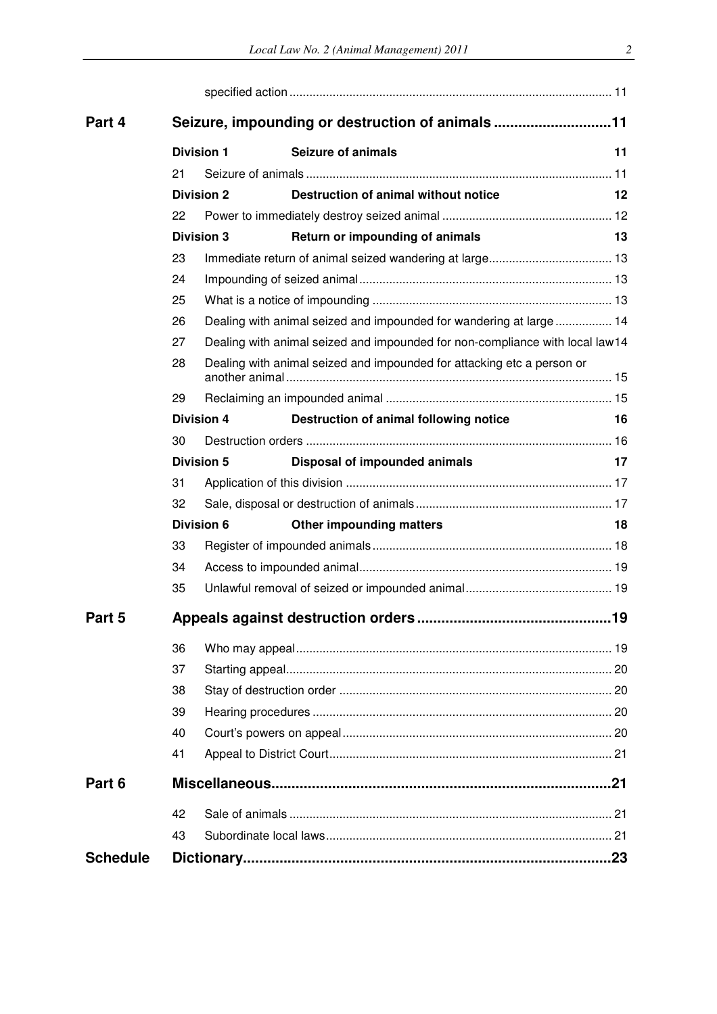| Part 4          | Seizure, impounding or destruction of animals 11 |                                                                              |                                        |    |  |  |
|-----------------|--------------------------------------------------|------------------------------------------------------------------------------|----------------------------------------|----|--|--|
|                 | <b>Division 1</b>                                |                                                                              | <b>Seizure of animals</b>              | 11 |  |  |
|                 | 21                                               |                                                                              |                                        |    |  |  |
|                 |                                                  | <b>Division 2</b>                                                            | Destruction of animal without notice   | 12 |  |  |
|                 | 22                                               |                                                                              |                                        |    |  |  |
|                 |                                                  | <b>Division 3</b>                                                            | Return or impounding of animals        | 13 |  |  |
|                 | 23                                               |                                                                              |                                        |    |  |  |
|                 | 24                                               |                                                                              |                                        |    |  |  |
|                 | 25                                               |                                                                              |                                        |    |  |  |
|                 | 26                                               | Dealing with animal seized and impounded for wandering at large 14           |                                        |    |  |  |
|                 | 27                                               | Dealing with animal seized and impounded for non-compliance with local law14 |                                        |    |  |  |
|                 | 28                                               | Dealing with animal seized and impounded for attacking etc a person or       |                                        |    |  |  |
|                 | 29                                               |                                                                              |                                        |    |  |  |
|                 |                                                  | <b>Division 4</b>                                                            | Destruction of animal following notice | 16 |  |  |
|                 | 30                                               |                                                                              |                                        |    |  |  |
|                 |                                                  | <b>Division 5</b>                                                            | Disposal of impounded animals          | 17 |  |  |
|                 | 31                                               |                                                                              |                                        |    |  |  |
|                 | 32                                               |                                                                              |                                        |    |  |  |
|                 |                                                  | <b>Division 6</b>                                                            | <b>Other impounding matters</b>        | 18 |  |  |
|                 | 33                                               |                                                                              |                                        |    |  |  |
|                 | 34                                               |                                                                              |                                        |    |  |  |
|                 | 35                                               |                                                                              |                                        |    |  |  |
| Part 5          |                                                  |                                                                              |                                        |    |  |  |
|                 | 36                                               |                                                                              |                                        |    |  |  |
|                 | 37                                               |                                                                              |                                        |    |  |  |
|                 | 38                                               |                                                                              |                                        |    |  |  |
|                 | 39                                               |                                                                              |                                        |    |  |  |
|                 | 40                                               |                                                                              |                                        |    |  |  |
|                 | 41                                               |                                                                              |                                        |    |  |  |
| Part 6          |                                                  |                                                                              |                                        |    |  |  |
|                 | 42                                               |                                                                              |                                        |    |  |  |
|                 | 43                                               |                                                                              |                                        |    |  |  |
| <b>Schedule</b> |                                                  |                                                                              |                                        |    |  |  |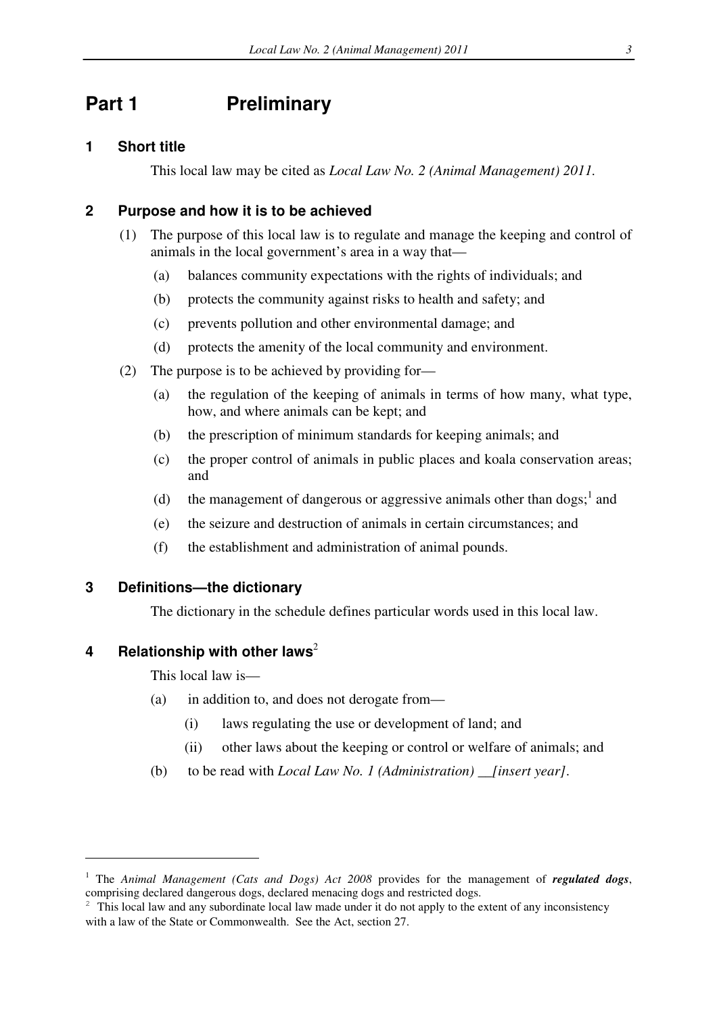# **Part 1** Preliminary

## **1 Short title**

This local law may be cited as *Local Law No. 2 (Animal Management) 2011.*

## **2 Purpose and how it is to be achieved**

- (1) The purpose of this local law is to regulate and manage the keeping and control of animals in the local government's area in a way that—
	- (a) balances community expectations with the rights of individuals; and
	- (b) protects the community against risks to health and safety; and
	- (c) prevents pollution and other environmental damage; and
	- (d) protects the amenity of the local community and environment.
- (2) The purpose is to be achieved by providing for—
	- (a) the regulation of the keeping of animals in terms of how many, what type, how, and where animals can be kept; and
	- (b) the prescription of minimum standards for keeping animals; and
	- (c) the proper control of animals in public places and koala conservation areas; and
	- (d) the management of dangerous or aggressive animals other than dogs;  $\frac{1}{2}$  and
	- (e) the seizure and destruction of animals in certain circumstances; and
	- (f) the establishment and administration of animal pounds.

## **3 Definitions—the dictionary**

The dictionary in the schedule defines particular words used in this local law.

### **4** Relationship with other laws<sup>2</sup>

This local law is—

- (a) in addition to, and does not derogate from—
	- (i) laws regulating the use or development of land; and
	- (ii) other laws about the keeping or control or welfare of animals; and
- (b) to be read with *Local Law No. 1 (Administration) \_\_[insert year]*.

<sup>&</sup>lt;sup>1</sup> The *Animal Management (Cats and Dogs) Act 2008* provides for the management of *regulated dogs*, comprising declared dangerous dogs, declared menacing dogs and restricted dogs.

<sup>&</sup>lt;sup>2</sup> This local law and any subordinate local law made under it do not apply to the extent of any inconsistency with a law of the State or Commonwealth. See the Act, section 27.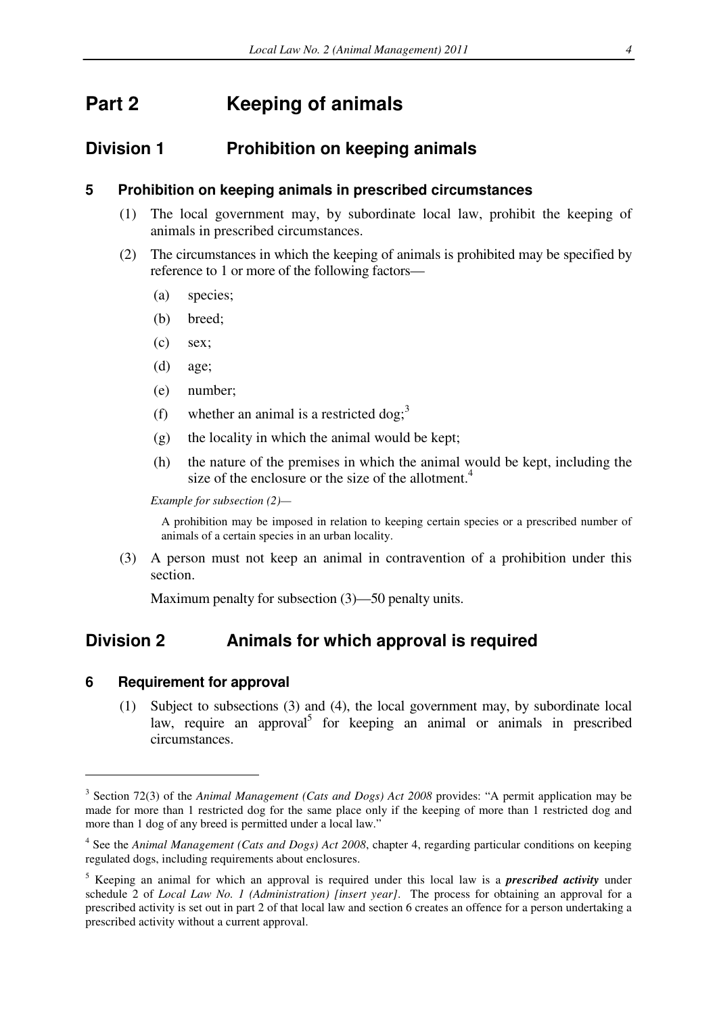# **Part 2 Keeping of animals**

# **Division 1 Prohibition on keeping animals**

### **5 Prohibition on keeping animals in prescribed circumstances**

- (1) The local government may, by subordinate local law, prohibit the keeping of animals in prescribed circumstances.
- (2) The circumstances in which the keeping of animals is prohibited may be specified by reference to 1 or more of the following factors—
	- (a) species;
	- (b) breed;
	- (c) sex;
	- (d) age;
	- (e) number;
	- (f) whether an animal is a restricted dog;<sup>3</sup>
	- (g) the locality in which the animal would be kept;
	- (h) the nature of the premises in which the animal would be kept, including the size of the enclosure or the size of the allotment.<sup>4</sup>

*Example for subsection (2)—* 

A prohibition may be imposed in relation to keeping certain species or a prescribed number of animals of a certain species in an urban locality.

(3) A person must not keep an animal in contravention of a prohibition under this section.

Maximum penalty for subsection (3)—50 penalty units.

# **Division 2 Animals for which approval is required**

#### **6 Requirement for approval**

 $\overline{a}$ 

(1) Subject to subsections (3) and (4), the local government may, by subordinate local law, require an approval<sup>5</sup> for keeping an animal or animals in prescribed circumstances.

<sup>&</sup>lt;sup>3</sup> Section 72(3) of the *Animal Management (Cats and Dogs) Act 2008* provides: "A permit application may be made for more than 1 restricted dog for the same place only if the keeping of more than 1 restricted dog and more than 1 dog of any breed is permitted under a local law."

<sup>&</sup>lt;sup>4</sup> See the *Animal Management (Cats and Dogs) Act 2008*, chapter 4, regarding particular conditions on keeping regulated dogs, including requirements about enclosures.

<sup>5</sup> Keeping an animal for which an approval is required under this local law is a *prescribed activity* under schedule 2 of *Local Law No. 1 (Administration) [insert year]*. The process for obtaining an approval for a prescribed activity is set out in part 2 of that local law and section 6 creates an offence for a person undertaking a prescribed activity without a current approval.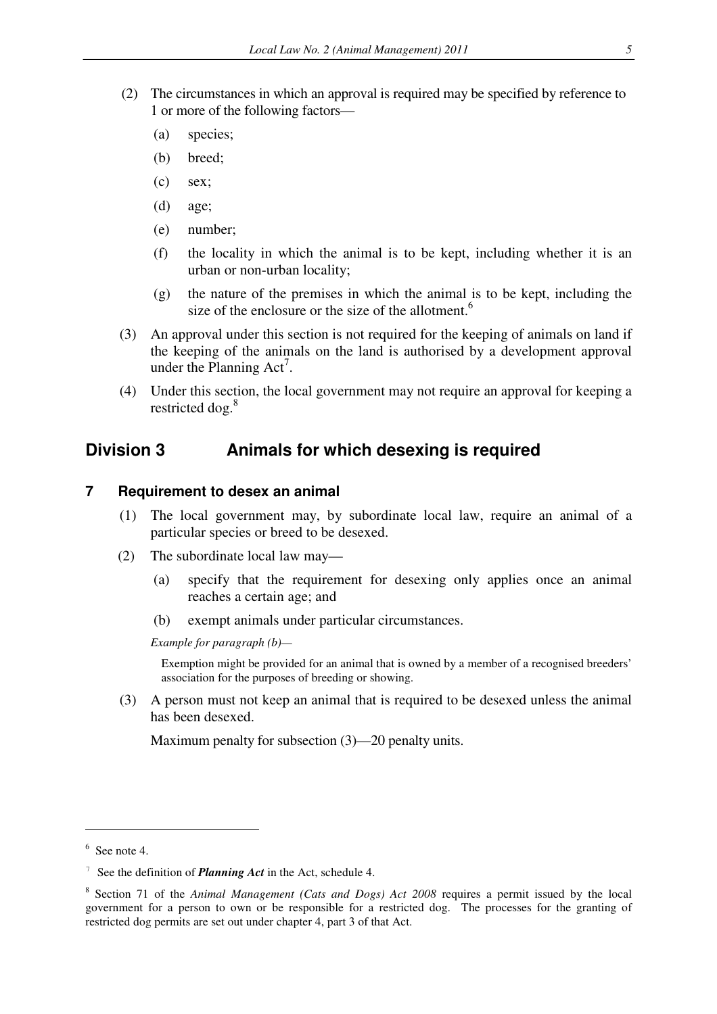- (2) The circumstances in which an approval is required may be specified by reference to 1 or more of the following factors—
	- (a) species;
	- (b) breed;
	- (c) sex;
	- (d) age;
	- (e) number;
	- (f) the locality in which the animal is to be kept, including whether it is an urban or non-urban locality;
	- (g) the nature of the premises in which the animal is to be kept, including the size of the enclosure or the size of the allotment.<sup>6</sup>
- (3) An approval under this section is not required for the keeping of animals on land if the keeping of the animals on the land is authorised by a development approval under the Planning  $Act<sup>7</sup>$ .
- (4) Under this section, the local government may not require an approval for keeping a restricted dog.<sup>8</sup>

# **Division 3 Animals for which desexing is required**

#### **7 Requirement to desex an animal**

- (1) The local government may, by subordinate local law, require an animal of a particular species or breed to be desexed.
- (2) The subordinate local law may—
	- (a) specify that the requirement for desexing only applies once an animal reaches a certain age; and
	- (b) exempt animals under particular circumstances.

*Example for paragraph (b)—* 

Exemption might be provided for an animal that is owned by a member of a recognised breeders' association for the purposes of breeding or showing.

(3) A person must not keep an animal that is required to be desexed unless the animal has been desexed.

Maximum penalty for subsection (3)—20 penalty units.

 $6$  See note 4.

<sup>7</sup> See the definition of *Planning Act* in the Act, schedule 4.

<sup>8</sup> Section 71 of the *Animal Management (Cats and Dogs) Act 2008* requires a permit issued by the local government for a person to own or be responsible for a restricted dog. The processes for the granting of restricted dog permits are set out under chapter 4, part 3 of that Act.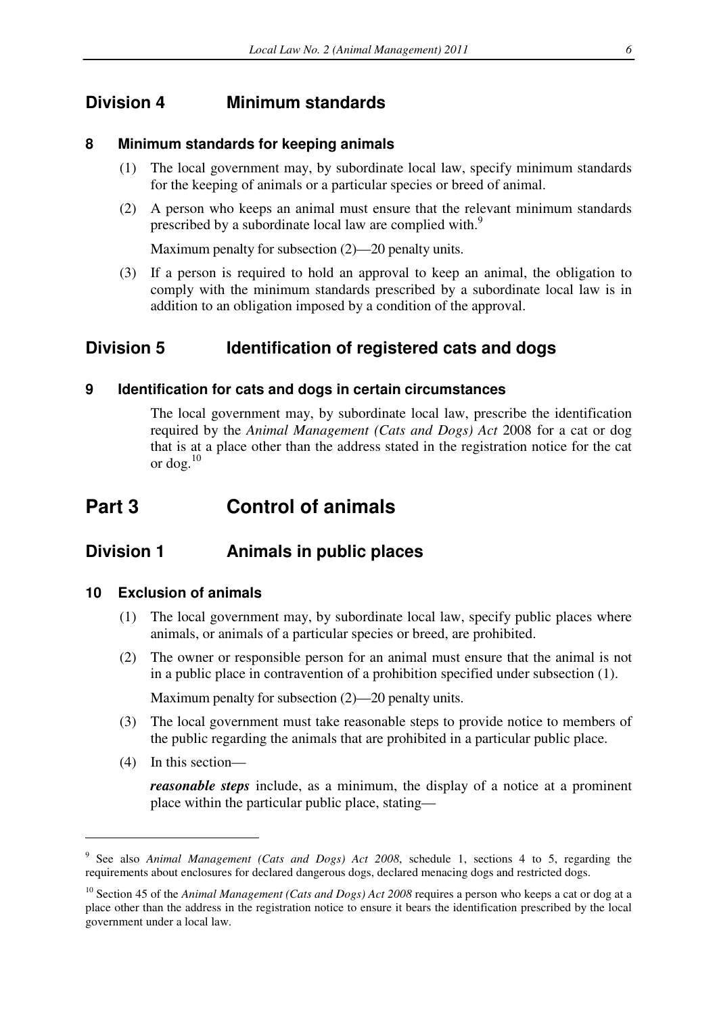# **Division 4 Minimum standards**

### **8 Minimum standards for keeping animals**

- (1) The local government may, by subordinate local law, specify minimum standards for the keeping of animals or a particular species or breed of animal.
- (2) A person who keeps an animal must ensure that the relevant minimum standards prescribed by a subordinate local law are complied with.<sup>9</sup>

Maximum penalty for subsection (2)—20 penalty units.

(3) If a person is required to hold an approval to keep an animal, the obligation to comply with the minimum standards prescribed by a subordinate local law is in addition to an obligation imposed by a condition of the approval.

# **Division 5 Identification of registered cats and dogs**

### **9 Identification for cats and dogs in certain circumstances**

The local government may, by subordinate local law, prescribe the identification required by the *Animal Management (Cats and Dogs) Act* 2008 for a cat or dog that is at a place other than the address stated in the registration notice for the cat or dog. $^{10}$ 

# **Part 3 Control of animals**

# **Division 1 Animals in public places**

### **10 Exclusion of animals**

- (1) The local government may, by subordinate local law, specify public places where animals, or animals of a particular species or breed, are prohibited.
- (2) The owner or responsible person for an animal must ensure that the animal is not in a public place in contravention of a prohibition specified under subsection (1).

Maximum penalty for subsection (2)—20 penalty units.

- (3) The local government must take reasonable steps to provide notice to members of the public regarding the animals that are prohibited in a particular public place.
- (4) In this section—

 $\overline{a}$ 

*reasonable steps* include, as a minimum, the display of a notice at a prominent place within the particular public place, stating—

<sup>9</sup> See also *Animal Management (Cats and Dogs) Act 2008*, schedule 1, sections 4 to 5, regarding the requirements about enclosures for declared dangerous dogs, declared menacing dogs and restricted dogs.

<sup>&</sup>lt;sup>10</sup> Section 45 of the *Animal Management (Cats and Dogs) Act 2008* requires a person who keeps a cat or dog at a place other than the address in the registration notice to ensure it bears the identification prescribed by the local government under a local law.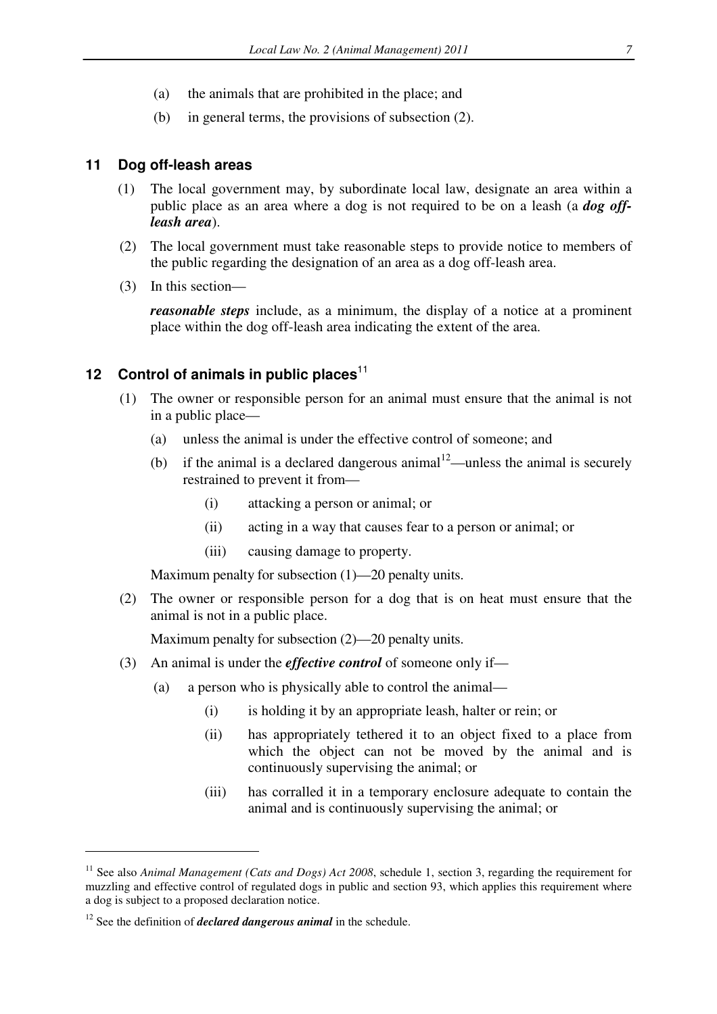- (a) the animals that are prohibited in the place; and
- (b) in general terms, the provisions of subsection (2).

#### **11 Dog off-leash areas**

- (1) The local government may, by subordinate local law, designate an area within a public place as an area where a dog is not required to be on a leash (a *dog offleash area*).
- (2) The local government must take reasonable steps to provide notice to members of the public regarding the designation of an area as a dog off-leash area.
- (3) In this section—

*reasonable steps* include, as a minimum, the display of a notice at a prominent place within the dog off-leash area indicating the extent of the area.

# **12 Control of animals in public places**<sup>11</sup>

- (1) The owner or responsible person for an animal must ensure that the animal is not in a public place—
	- (a) unless the animal is under the effective control of someone; and
	- (b) if the animal is a declared dangerous animal<sup>12</sup>—unless the animal is securely restrained to prevent it from—
		- (i) attacking a person or animal; or
		- (ii) acting in a way that causes fear to a person or animal; or
		- (iii) causing damage to property.

Maximum penalty for subsection (1)—20 penalty units.

(2) The owner or responsible person for a dog that is on heat must ensure that the animal is not in a public place.

Maximum penalty for subsection (2)—20 penalty units.

- (3) An animal is under the *effective control* of someone only if—
	- (a) a person who is physically able to control the animal—
		- (i) is holding it by an appropriate leash, halter or rein; or
		- (ii) has appropriately tethered it to an object fixed to a place from which the object can not be moved by the animal and is continuously supervising the animal; or
		- (iii) has corralled it in a temporary enclosure adequate to contain the animal and is continuously supervising the animal; or

<sup>&</sup>lt;sup>11</sup> See also *Animal Management (Cats and Dogs) Act 2008*, schedule 1, section 3, regarding the requirement for muzzling and effective control of regulated dogs in public and section 93, which applies this requirement where a dog is subject to a proposed declaration notice.

<sup>&</sup>lt;sup>12</sup> See the definition of *declared dangerous animal* in the schedule.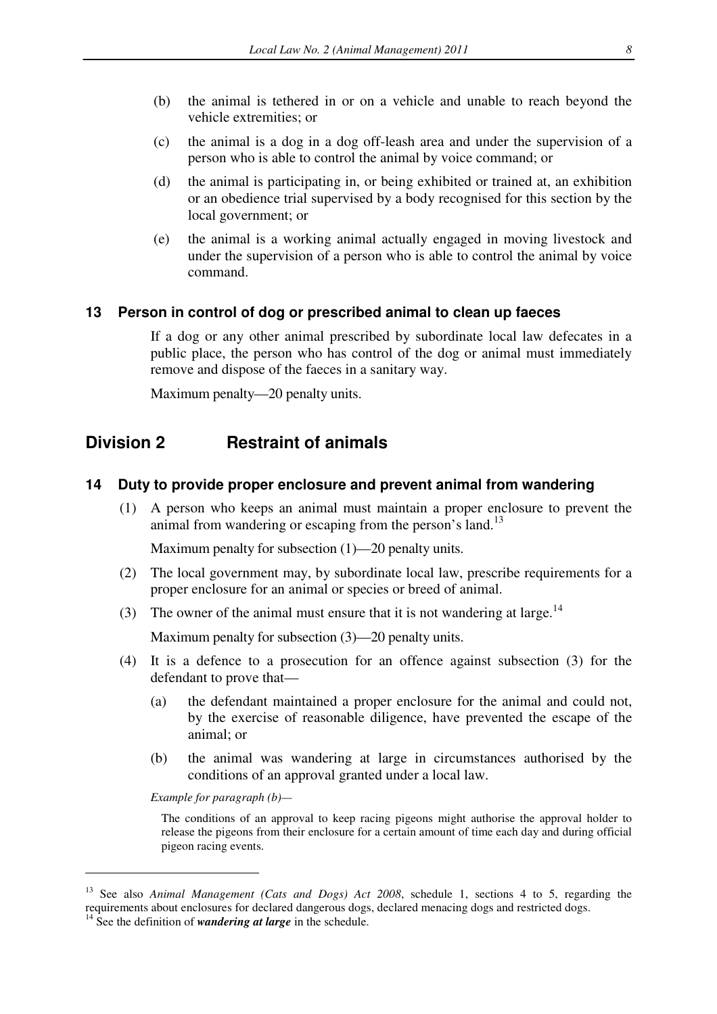- (b) the animal is tethered in or on a vehicle and unable to reach beyond the vehicle extremities; or
- (c) the animal is a dog in a dog off-leash area and under the supervision of a person who is able to control the animal by voice command; or
- (d) the animal is participating in, or being exhibited or trained at, an exhibition or an obedience trial supervised by a body recognised for this section by the local government; or
- (e) the animal is a working animal actually engaged in moving livestock and under the supervision of a person who is able to control the animal by voice command.

### **13 Person in control of dog or prescribed animal to clean up faeces**

If a dog or any other animal prescribed by subordinate local law defecates in a public place, the person who has control of the dog or animal must immediately remove and dispose of the faeces in a sanitary way.

Maximum penalty—20 penalty units.

# **Division 2 Restraint of animals**

### **14 Duty to provide proper enclosure and prevent animal from wandering**

(1) A person who keeps an animal must maintain a proper enclosure to prevent the animal from wandering or escaping from the person's land.<sup>13</sup>

Maximum penalty for subsection (1)—20 penalty units.

- (2) The local government may, by subordinate local law, prescribe requirements for a proper enclosure for an animal or species or breed of animal.
- (3) The owner of the animal must ensure that it is not wandering at large.<sup>14</sup>

Maximum penalty for subsection (3)—20 penalty units.

- (4) It is a defence to a prosecution for an offence against subsection (3) for the defendant to prove that—
	- (a) the defendant maintained a proper enclosure for the animal and could not, by the exercise of reasonable diligence, have prevented the escape of the animal; or
	- (b) the animal was wandering at large in circumstances authorised by the conditions of an approval granted under a local law.

*Example for paragraph (b)—* 

 $\overline{a}$ 

The conditions of an approval to keep racing pigeons might authorise the approval holder to release the pigeons from their enclosure for a certain amount of time each day and during official pigeon racing events.

<sup>13</sup> See also *Animal Management (Cats and Dogs) Act 2008*, schedule 1, sections 4 to 5, regarding the requirements about enclosures for declared dangerous dogs, declared menacing dogs and restricted dogs.

<sup>&</sup>lt;sup>14</sup> See the definition of *wandering at large* in the schedule.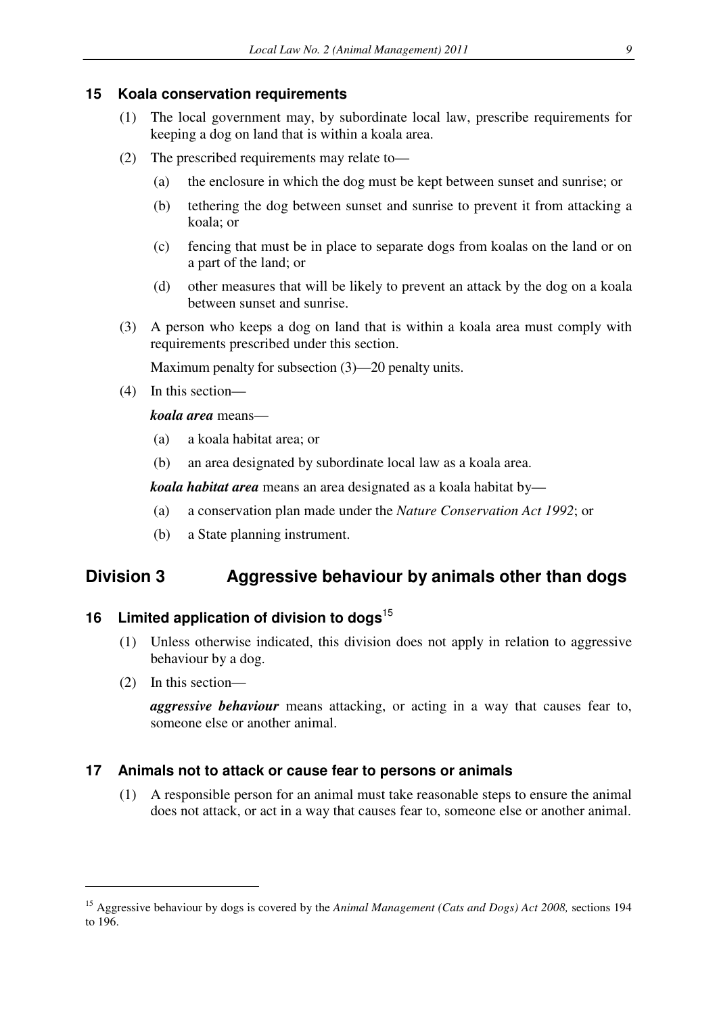### **15 Koala conservation requirements**

- (1) The local government may, by subordinate local law, prescribe requirements for keeping a dog on land that is within a koala area.
- (2) The prescribed requirements may relate to—
	- (a) the enclosure in which the dog must be kept between sunset and sunrise; or
	- (b) tethering the dog between sunset and sunrise to prevent it from attacking a koala; or
	- (c) fencing that must be in place to separate dogs from koalas on the land or on a part of the land; or
	- (d) other measures that will be likely to prevent an attack by the dog on a koala between sunset and sunrise.
- (3) A person who keeps a dog on land that is within a koala area must comply with requirements prescribed under this section.

Maximum penalty for subsection (3)—20 penalty units.

(4) In this section—

### *koala area* means—

- (a) a koala habitat area; or
- (b) an area designated by subordinate local law as a koala area.

*koala habitat area* means an area designated as a koala habitat by—

- (a) a conservation plan made under the *Nature Conservation Act 1992*; or
- (b) a State planning instrument.

# **Division 3 Aggressive behaviour by animals other than dogs**

# **16 Limited application of division to dogs**<sup>15</sup>

- (1) Unless otherwise indicated, this division does not apply in relation to aggressive behaviour by a dog.
- (2) In this section—

 $\overline{a}$ 

*aggressive behaviour* means attacking, or acting in a way that causes fear to, someone else or another animal.

# **17 Animals not to attack or cause fear to persons or animals**

(1) A responsible person for an animal must take reasonable steps to ensure the animal does not attack, or act in a way that causes fear to, someone else or another animal.

<sup>15</sup> Aggressive behaviour by dogs is covered by the *Animal Management (Cats and Dogs) Act 2008,* sections 194 to 196.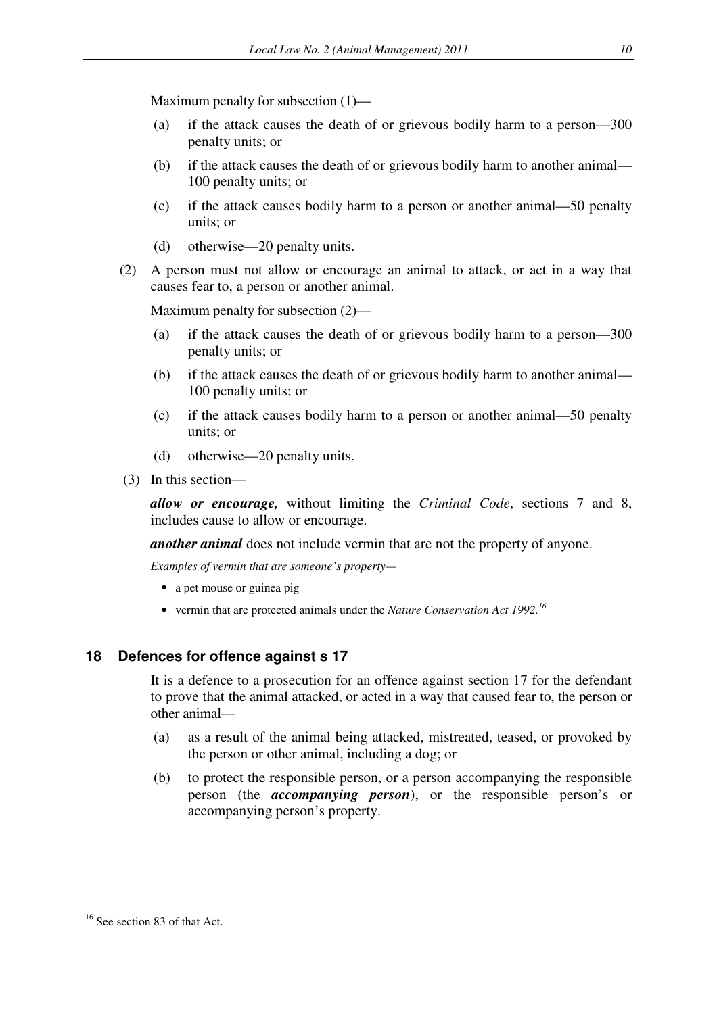Maximum penalty for subsection (1)—

- (a) if the attack causes the death of or grievous bodily harm to a person—300 penalty units; or
- (b) if the attack causes the death of or grievous bodily harm to another animal— 100 penalty units; or
- (c) if the attack causes bodily harm to a person or another animal—50 penalty units; or
- (d) otherwise—20 penalty units.
- (2) A person must not allow or encourage an animal to attack, or act in a way that causes fear to, a person or another animal.

Maximum penalty for subsection (2)—

- (a) if the attack causes the death of or grievous bodily harm to a person—300 penalty units; or
- (b) if the attack causes the death of or grievous bodily harm to another animal— 100 penalty units; or
- (c) if the attack causes bodily harm to a person or another animal—50 penalty units; or
- (d) otherwise—20 penalty units.
- (3) In this section—

*allow or encourage,* without limiting the *Criminal Code*, sections 7 and 8, includes cause to allow or encourage.

*another animal* does not include vermin that are not the property of anyone.

*Examples of vermin that are someone's property—* 

- a pet mouse or guinea pig
- vermin that are protected animals under the *Nature Conservation Act 1992.<sup>16</sup>*

### **18 Defences for offence against s 17**

It is a defence to a prosecution for an offence against section 17 for the defendant to prove that the animal attacked, or acted in a way that caused fear to, the person or other animal—

- (a) as a result of the animal being attacked, mistreated, teased, or provoked by the person or other animal, including a dog; or
- (b) to protect the responsible person, or a person accompanying the responsible person (the *accompanying person*), or the responsible person's or accompanying person's property.

<sup>&</sup>lt;sup>16</sup> See section 83 of that Act.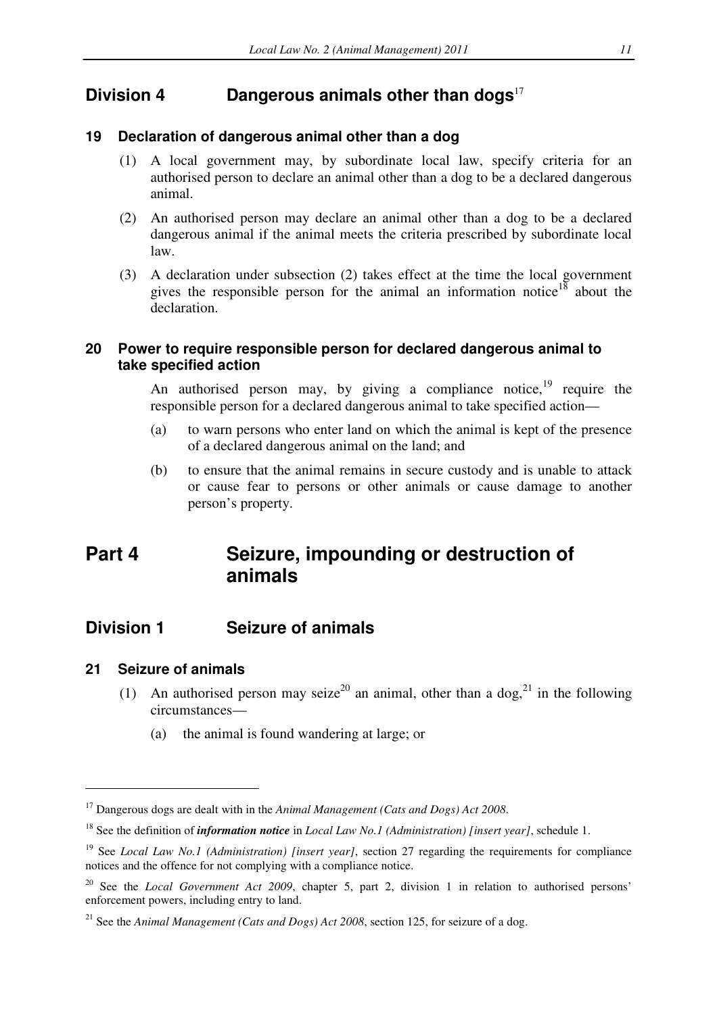# **Division 4 Dangerous animals other than dogs**<sup>17</sup>

### **19 Declaration of dangerous animal other than a dog**

- (1) A local government may, by subordinate local law, specify criteria for an authorised person to declare an animal other than a dog to be a declared dangerous animal.
- (2) An authorised person may declare an animal other than a dog to be a declared dangerous animal if the animal meets the criteria prescribed by subordinate local law.
- (3) A declaration under subsection (2) takes effect at the time the local government gives the responsible person for the animal an information notice<sup>18</sup> about the declaration.

## **20 Power to require responsible person for declared dangerous animal to take specified action**

An authorised person may, by giving a compliance notice, $19$  require the responsible person for a declared dangerous animal to take specified action—

- (a) to warn persons who enter land on which the animal is kept of the presence of a declared dangerous animal on the land; and
- (b) to ensure that the animal remains in secure custody and is unable to attack or cause fear to persons or other animals or cause damage to another person's property.

# **Part 4 Seizure, impounding or destruction of animals**

# **Division 1 Seizure of animals**

### **21 Seizure of animals**

- (1) An authorised person may seize<sup>20</sup> an animal, other than a dog,<sup>21</sup> in the following circumstances—
	- (a) the animal is found wandering at large; or

<sup>17</sup> Dangerous dogs are dealt with in the *Animal Management (Cats and Dogs) Act 2008*.

<sup>18</sup> See the definition of *information notice* in *Local Law No.1 (Administration) [insert year]*, schedule 1.

<sup>&</sup>lt;sup>19</sup> See *Local Law No.1 (Administration) [insert year]*, section 27 regarding the requirements for compliance notices and the offence for not complying with a compliance notice.

<sup>&</sup>lt;sup>20</sup> See the *Local Government Act 2009*, chapter 5, part 2, division 1 in relation to authorised persons' enforcement powers, including entry to land.

<sup>&</sup>lt;sup>21</sup> See the *Animal Management (Cats and Dogs) Act 2008*, section 125, for seizure of a dog.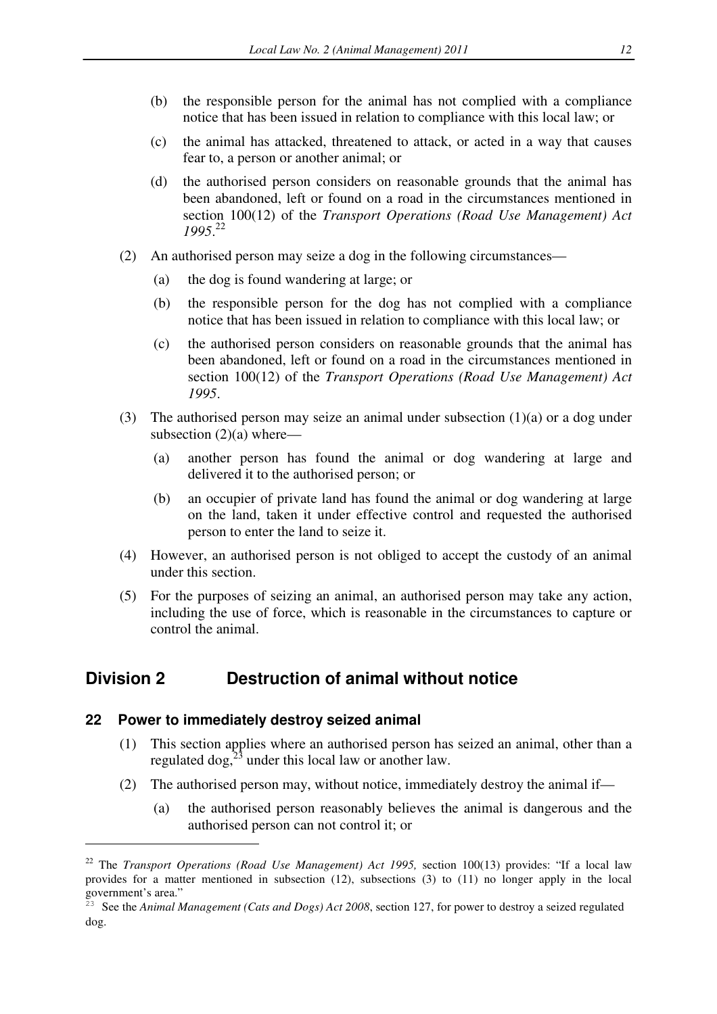- (b) the responsible person for the animal has not complied with a compliance notice that has been issued in relation to compliance with this local law; or
- (c) the animal has attacked, threatened to attack, or acted in a way that causes fear to, a person or another animal; or
- (d) the authorised person considers on reasonable grounds that the animal has been abandoned, left or found on a road in the circumstances mentioned in section 100(12) of the *Transport Operations (Road Use Management) Act 1995*. 22
- (2) An authorised person may seize a dog in the following circumstances—
	- (a) the dog is found wandering at large; or
	- (b) the responsible person for the dog has not complied with a compliance notice that has been issued in relation to compliance with this local law; or
	- (c) the authorised person considers on reasonable grounds that the animal has been abandoned, left or found on a road in the circumstances mentioned in section 100(12) of the *Transport Operations (Road Use Management) Act 1995*.
- (3) The authorised person may seize an animal under subsection (1)(a) or a dog under subsection  $(2)(a)$  where—
	- (a) another person has found the animal or dog wandering at large and delivered it to the authorised person; or
	- (b) an occupier of private land has found the animal or dog wandering at large on the land, taken it under effective control and requested the authorised person to enter the land to seize it.
- (4) However, an authorised person is not obliged to accept the custody of an animal under this section.
- (5) For the purposes of seizing an animal, an authorised person may take any action, including the use of force, which is reasonable in the circumstances to capture or control the animal.

# **Division 2 Destruction of animal without notice**

#### **22 Power to immediately destroy seized animal**

- (1) This section applies where an authorised person has seized an animal, other than a regulated dog. $^{23}$  under this local law or another law.
- (2) The authorised person may, without notice, immediately destroy the animal if—
	- (a) the authorised person reasonably believes the animal is dangerous and the authorised person can not control it; or

<sup>22</sup> The *Transport Operations (Road Use Management) Act 1995,* section 100(13) provides: "If a local law provides for a matter mentioned in subsection (12), subsections (3) to (11) no longer apply in the local government's area."

<sup>&</sup>lt;sup>23</sup> See the *Animal Management (Cats and Dogs) Act 2008*, section 127, for power to destroy a seized regulated dog.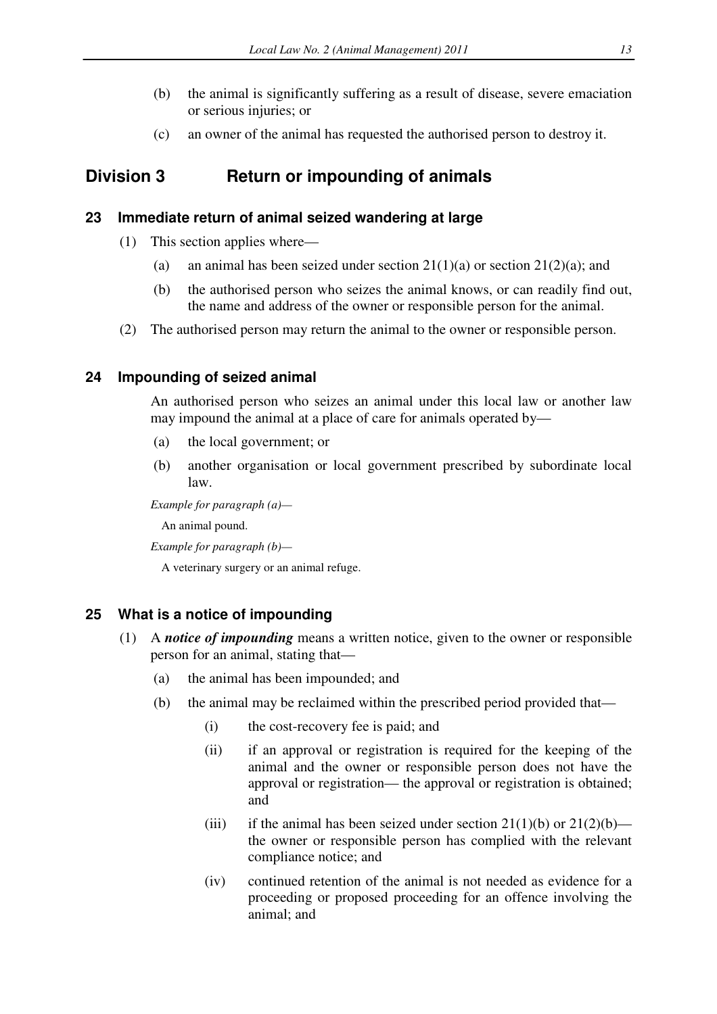- (b) the animal is significantly suffering as a result of disease, severe emaciation or serious injuries; or
- (c) an owner of the animal has requested the authorised person to destroy it.

# **Division 3 Return or impounding of animals**

### **23 Immediate return of animal seized wandering at large**

- (1) This section applies where—
	- (a) an animal has been seized under section  $21(1)(a)$  or section  $21(2)(a)$ ; and
	- (b) the authorised person who seizes the animal knows, or can readily find out, the name and address of the owner or responsible person for the animal.
- (2) The authorised person may return the animal to the owner or responsible person.

### **24 Impounding of seized animal**

An authorised person who seizes an animal under this local law or another law may impound the animal at a place of care for animals operated by—

- (a) the local government; or
- (b) another organisation or local government prescribed by subordinate local law.

*Example for paragraph (a)—* 

An animal pound.

*Example for paragraph (b)—* 

A veterinary surgery or an animal refuge.

### **25 What is a notice of impounding**

- (1) A *notice of impounding* means a written notice, given to the owner or responsible person for an animal, stating that—
	- (a) the animal has been impounded; and
	- (b) the animal may be reclaimed within the prescribed period provided that—
		- (i) the cost-recovery fee is paid; and
		- (ii) if an approval or registration is required for the keeping of the animal and the owner or responsible person does not have the approval or registration— the approval or registration is obtained; and
		- (iii) if the animal has been seized under section  $21(1)(b)$  or  $21(2)(b)$  the owner or responsible person has complied with the relevant compliance notice; and
		- (iv) continued retention of the animal is not needed as evidence for a proceeding or proposed proceeding for an offence involving the animal; and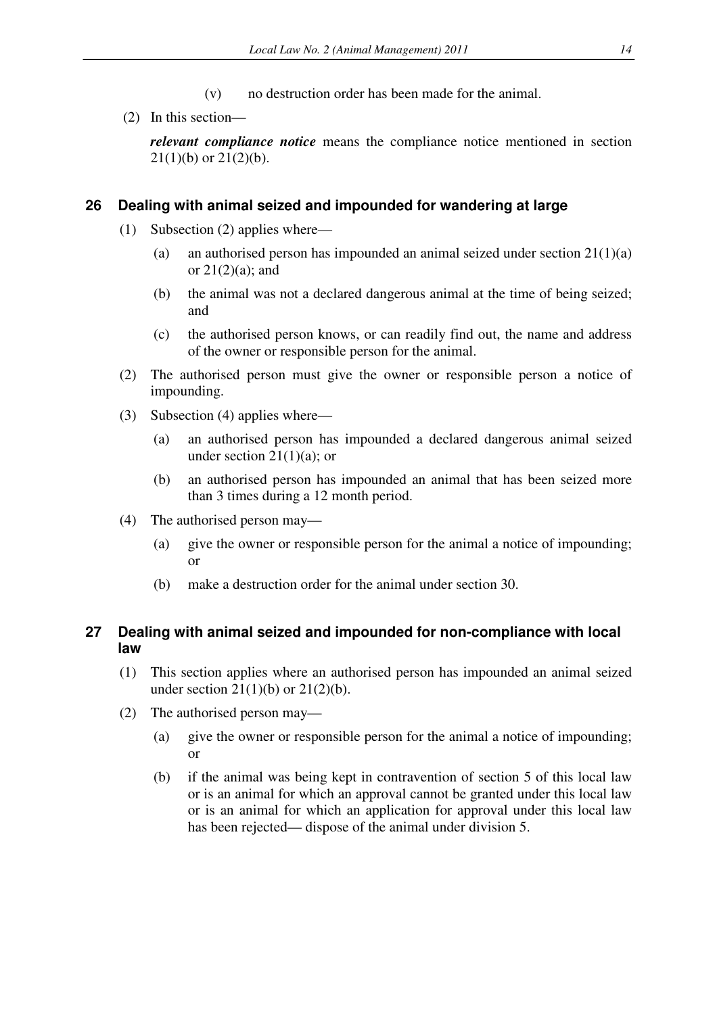- (v) no destruction order has been made for the animal.
- (2) In this section—

*relevant compliance notice* means the compliance notice mentioned in section  $21(1)(b)$  or  $21(2)(b)$ .

#### **26 Dealing with animal seized and impounded for wandering at large**

- (1) Subsection (2) applies where—
	- (a) an authorised person has impounded an animal seized under section  $21(1)(a)$ or  $21(2)(a)$ ; and
	- (b) the animal was not a declared dangerous animal at the time of being seized; and
	- (c) the authorised person knows, or can readily find out, the name and address of the owner or responsible person for the animal.
- (2) The authorised person must give the owner or responsible person a notice of impounding.
- (3) Subsection (4) applies where—
	- (a) an authorised person has impounded a declared dangerous animal seized under section  $21(1)(a)$ ; or
	- (b) an authorised person has impounded an animal that has been seized more than 3 times during a 12 month period.
- (4) The authorised person may—
	- (a) give the owner or responsible person for the animal a notice of impounding; or
	- (b) make a destruction order for the animal under section 30.

### **27 Dealing with animal seized and impounded for non-compliance with local law**

- (1) This section applies where an authorised person has impounded an animal seized under section  $21(1)(b)$  or  $21(2)(b)$ .
- (2) The authorised person may—
	- (a) give the owner or responsible person for the animal a notice of impounding; or
	- (b) if the animal was being kept in contravention of section 5 of this local law or is an animal for which an approval cannot be granted under this local law or is an animal for which an application for approval under this local law has been rejected— dispose of the animal under division 5.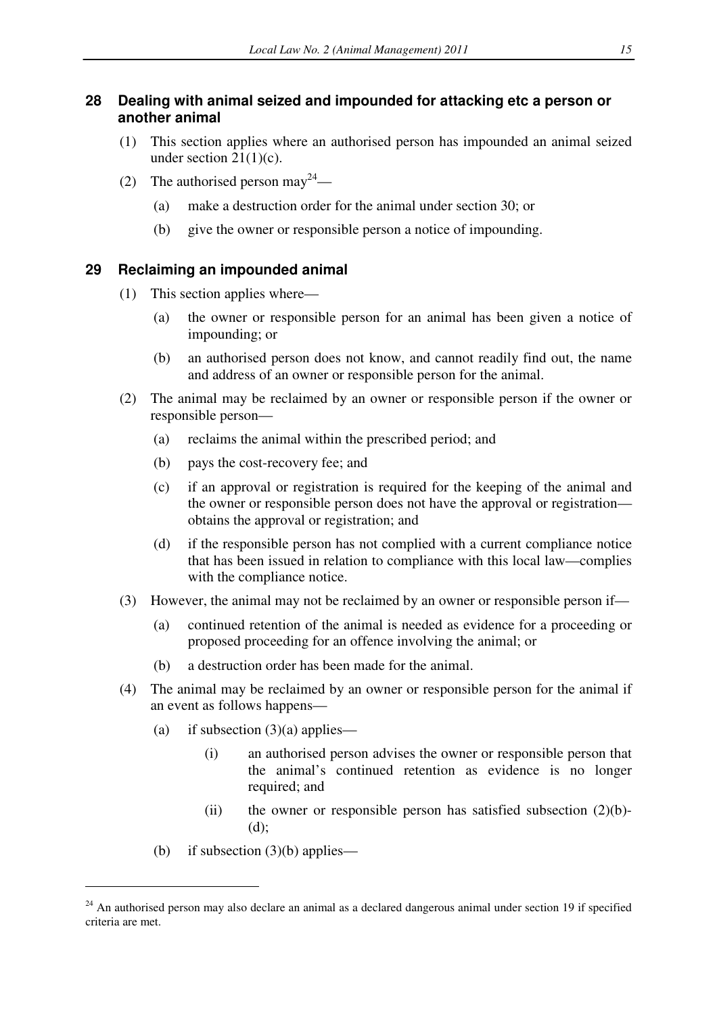# **28 Dealing with animal seized and impounded for attacking etc a person or another animal**

- (1) This section applies where an authorised person has impounded an animal seized under section  $21(1)(c)$ .
- (2) The authorised person may  $2^4$ 
	- (a) make a destruction order for the animal under section 30; or
	- (b) give the owner or responsible person a notice of impounding.

# **29 Reclaiming an impounded animal**

- (1) This section applies where—
	- (a) the owner or responsible person for an animal has been given a notice of impounding; or
	- (b) an authorised person does not know, and cannot readily find out, the name and address of an owner or responsible person for the animal.
- (2) The animal may be reclaimed by an owner or responsible person if the owner or responsible person—
	- (a) reclaims the animal within the prescribed period; and
	- (b) pays the cost-recovery fee; and
	- (c) if an approval or registration is required for the keeping of the animal and the owner or responsible person does not have the approval or registration obtains the approval or registration; and
	- (d) if the responsible person has not complied with a current compliance notice that has been issued in relation to compliance with this local law—complies with the compliance notice.
- (3) However, the animal may not be reclaimed by an owner or responsible person if—
	- (a) continued retention of the animal is needed as evidence for a proceeding or proposed proceeding for an offence involving the animal; or
	- (b) a destruction order has been made for the animal.
- (4) The animal may be reclaimed by an owner or responsible person for the animal if an event as follows happens—
	- (a) if subsection  $(3)(a)$  applies—
		- (i) an authorised person advises the owner or responsible person that the animal's continued retention as evidence is no longer required; and
		- (ii) the owner or responsible person has satisfied subsection  $(2)(b)$ -(d);
	- (b) if subsection  $(3)(b)$  applies—

<sup>&</sup>lt;sup>24</sup> An authorised person may also declare an animal as a declared dangerous animal under section 19 if specified criteria are met.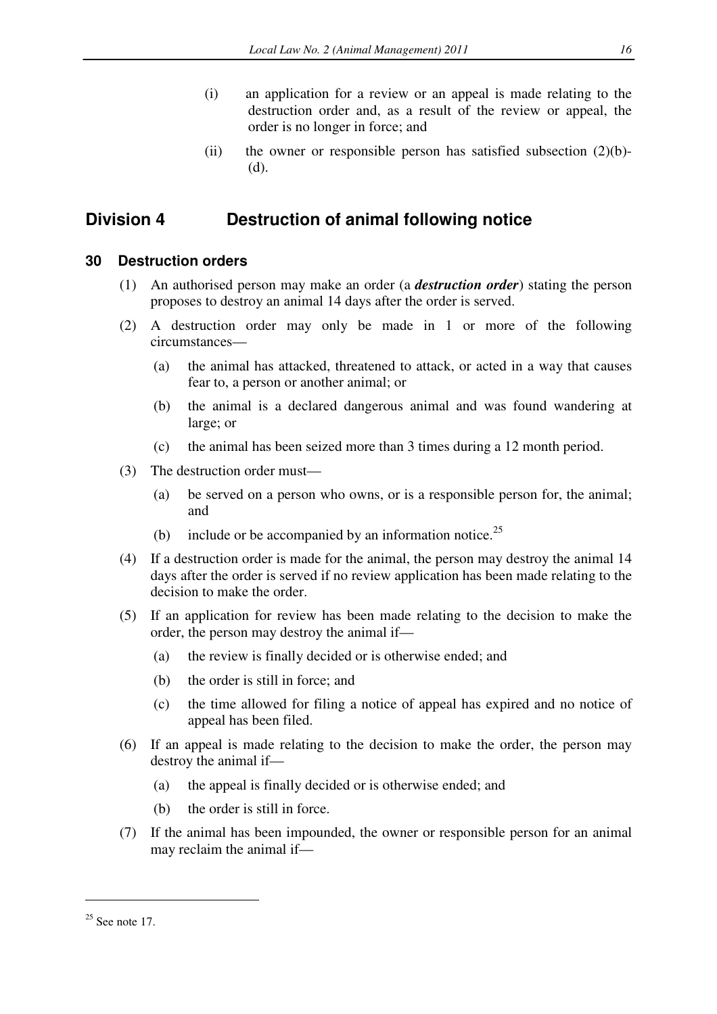- (i) an application for a review or an appeal is made relating to the destruction order and, as a result of the review or appeal, the order is no longer in force; and
- (ii) the owner or responsible person has satisfied subsection  $(2)(b)$ -(d).

# **Division 4 Destruction of animal following notice**

# **30 Destruction orders**

- (1) An authorised person may make an order (a *destruction order*) stating the person proposes to destroy an animal 14 days after the order is served.
- (2) A destruction order may only be made in 1 or more of the following circumstances—
	- (a) the animal has attacked, threatened to attack, or acted in a way that causes fear to, a person or another animal; or
	- (b) the animal is a declared dangerous animal and was found wandering at large; or
	- (c) the animal has been seized more than 3 times during a 12 month period.
- (3) The destruction order must—
	- (a) be served on a person who owns, or is a responsible person for, the animal; and
	- (b) include or be accompanied by an information notice.<sup>25</sup>
- (4) If a destruction order is made for the animal, the person may destroy the animal 14 days after the order is served if no review application has been made relating to the decision to make the order.
- (5) If an application for review has been made relating to the decision to make the order, the person may destroy the animal if—
	- (a) the review is finally decided or is otherwise ended; and
	- (b) the order is still in force; and
	- (c) the time allowed for filing a notice of appeal has expired and no notice of appeal has been filed.
- (6) If an appeal is made relating to the decision to make the order, the person may destroy the animal if—
	- (a) the appeal is finally decided or is otherwise ended; and
	- (b) the order is still in force.
- (7) If the animal has been impounded, the owner or responsible person for an animal may reclaim the animal if—

 $25$  See note 17.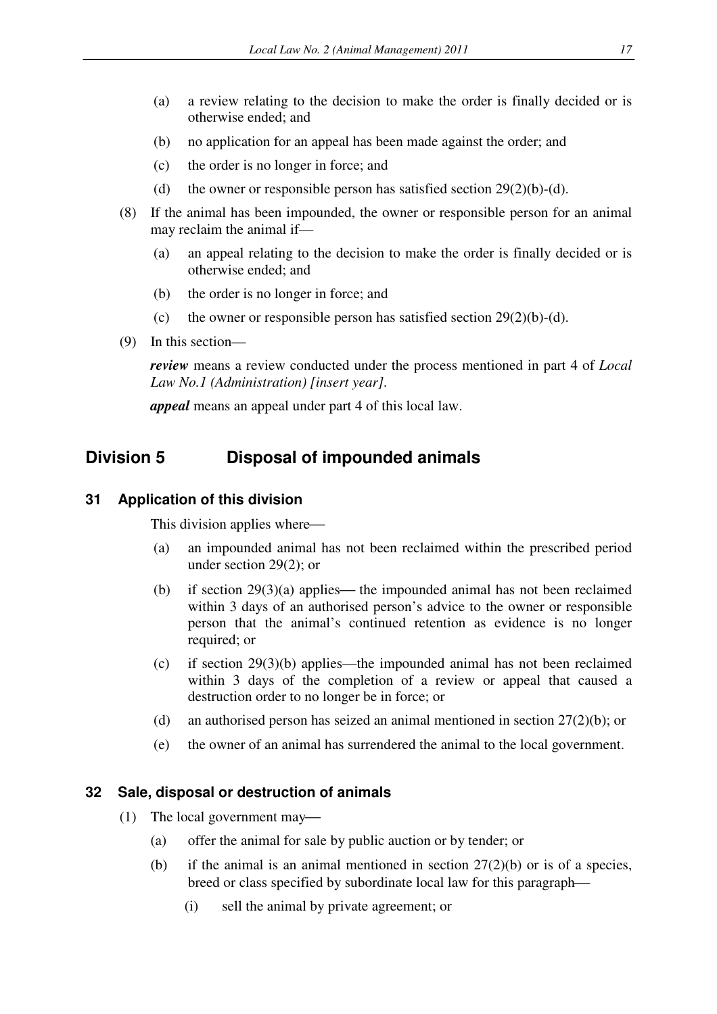- (a) a review relating to the decision to make the order is finally decided or is otherwise ended; and
- (b) no application for an appeal has been made against the order; and
- (c) the order is no longer in force; and
- (d) the owner or responsible person has satisfied section  $29(2)(b)-(d)$ .
- (8) If the animal has been impounded, the owner or responsible person for an animal may reclaim the animal if—
	- (a) an appeal relating to the decision to make the order is finally decided or is otherwise ended; and
	- (b) the order is no longer in force; and
	- (c) the owner or responsible person has satisfied section  $29(2)(b)-(d)$ .
- (9) In this section—

*review* means a review conducted under the process mentioned in part 4 of *Local Law No.1 (Administration) [insert year].* 

*appeal* means an appeal under part 4 of this local law.

# **Division 5 Disposal of impounded animals**

#### **31 Application of this division**

This division applies where

- (a) an impounded animal has not been reclaimed within the prescribed period under section 29(2); or
- (b) if section  $29(3)(a)$  applies— the impounded animal has not been reclaimed within 3 days of an authorised person's advice to the owner or responsible person that the animal's continued retention as evidence is no longer required; or
- (c) if section 29(3)(b) applies—the impounded animal has not been reclaimed within 3 days of the completion of a review or appeal that caused a destruction order to no longer be in force; or
- (d) an authorised person has seized an animal mentioned in section 27(2)(b); or
- (e) the owner of an animal has surrendered the animal to the local government.

#### **32 Sale, disposal or destruction of animals**

- (1) The local government may
	- (a) offer the animal for sale by public auction or by tender; or
	- (b) if the animal is an animal mentioned in section  $27(2)(b)$  or is of a species, breed or class specified by subordinate local law for this paragraph
		- (i) sell the animal by private agreement; or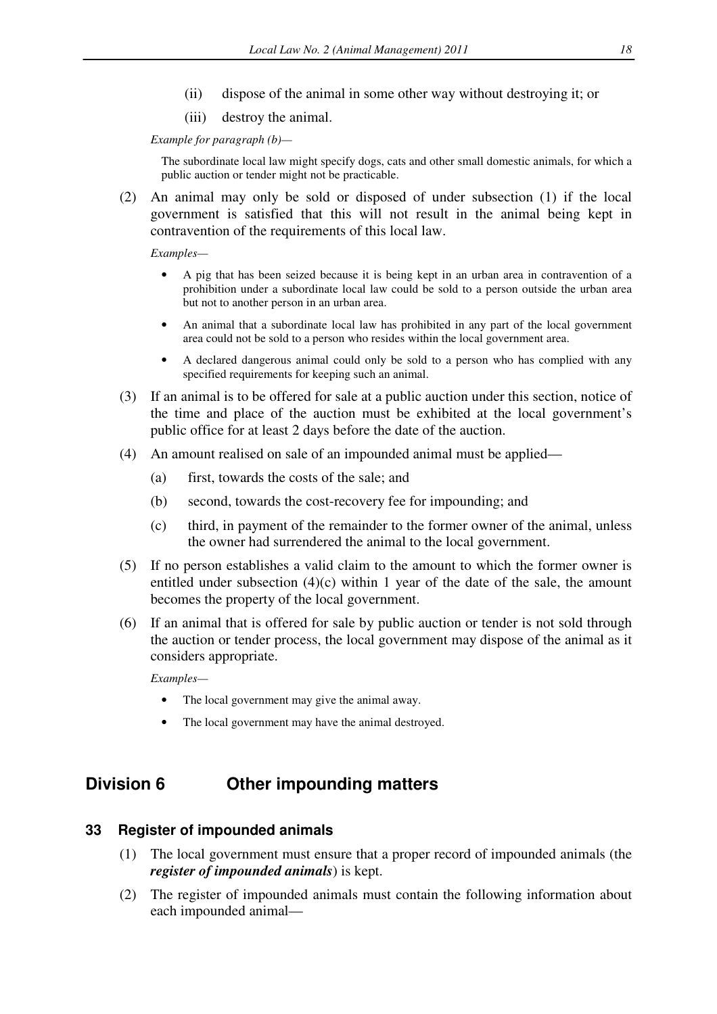- (ii) dispose of the animal in some other way without destroying it; or
- (iii) destroy the animal.

*Example for paragraph (b)—* 

The subordinate local law might specify dogs, cats and other small domestic animals, for which a public auction or tender might not be practicable.

(2) An animal may only be sold or disposed of under subsection (1) if the local government is satisfied that this will not result in the animal being kept in contravention of the requirements of this local law.

*Examples—* 

- A pig that has been seized because it is being kept in an urban area in contravention of a prohibition under a subordinate local law could be sold to a person outside the urban area but not to another person in an urban area.
- An animal that a subordinate local law has prohibited in any part of the local government area could not be sold to a person who resides within the local government area.
- A declared dangerous animal could only be sold to a person who has complied with any specified requirements for keeping such an animal.
- (3) If an animal is to be offered for sale at a public auction under this section, notice of the time and place of the auction must be exhibited at the local government's public office for at least 2 days before the date of the auction.
- (4) An amount realised on sale of an impounded animal must be applied—
	- (a) first, towards the costs of the sale; and
	- (b) second, towards the cost-recovery fee for impounding; and
	- (c) third, in payment of the remainder to the former owner of the animal, unless the owner had surrendered the animal to the local government.
- (5) If no person establishes a valid claim to the amount to which the former owner is entitled under subsection  $(4)(c)$  within 1 year of the date of the sale, the amount becomes the property of the local government.
- (6) If an animal that is offered for sale by public auction or tender is not sold through the auction or tender process, the local government may dispose of the animal as it considers appropriate.

*Examples—* 

- The local government may give the animal away.
- The local government may have the animal destroyed.

# **Division 6 Other impounding matters**

#### **33 Register of impounded animals**

- (1) The local government must ensure that a proper record of impounded animals (the *register of impounded animals*) is kept.
- (2) The register of impounded animals must contain the following information about each impounded animal—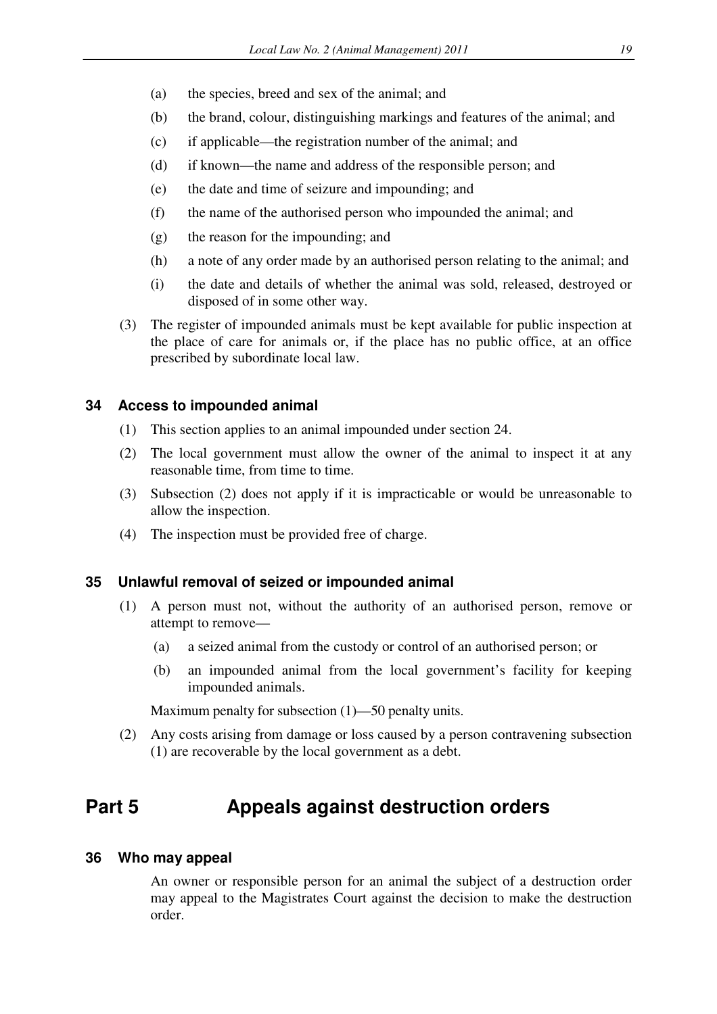- (a) the species, breed and sex of the animal; and
- (b) the brand, colour, distinguishing markings and features of the animal; and
- (c) if applicable—the registration number of the animal; and
- (d) if known—the name and address of the responsible person; and
- (e) the date and time of seizure and impounding; and
- (f) the name of the authorised person who impounded the animal; and
- (g) the reason for the impounding; and
- (h) a note of any order made by an authorised person relating to the animal; and
- (i) the date and details of whether the animal was sold, released, destroyed or disposed of in some other way.
- (3) The register of impounded animals must be kept available for public inspection at the place of care for animals or, if the place has no public office, at an office prescribed by subordinate local law.

### **34 Access to impounded animal**

- (1) This section applies to an animal impounded under section 24.
- (2) The local government must allow the owner of the animal to inspect it at any reasonable time, from time to time.
- (3) Subsection (2) does not apply if it is impracticable or would be unreasonable to allow the inspection.
- (4) The inspection must be provided free of charge.

#### **35 Unlawful removal of seized or impounded animal**

- (1) A person must not, without the authority of an authorised person, remove or attempt to remove—
	- (a) a seized animal from the custody or control of an authorised person; or
	- (b) an impounded animal from the local government's facility for keeping impounded animals.

Maximum penalty for subsection (1)—50 penalty units.

(2) Any costs arising from damage or loss caused by a person contravening subsection (1) are recoverable by the local government as a debt.

# **Part 5 Appeals against destruction orders**

#### **36 Who may appeal**

An owner or responsible person for an animal the subject of a destruction order may appeal to the Magistrates Court against the decision to make the destruction order.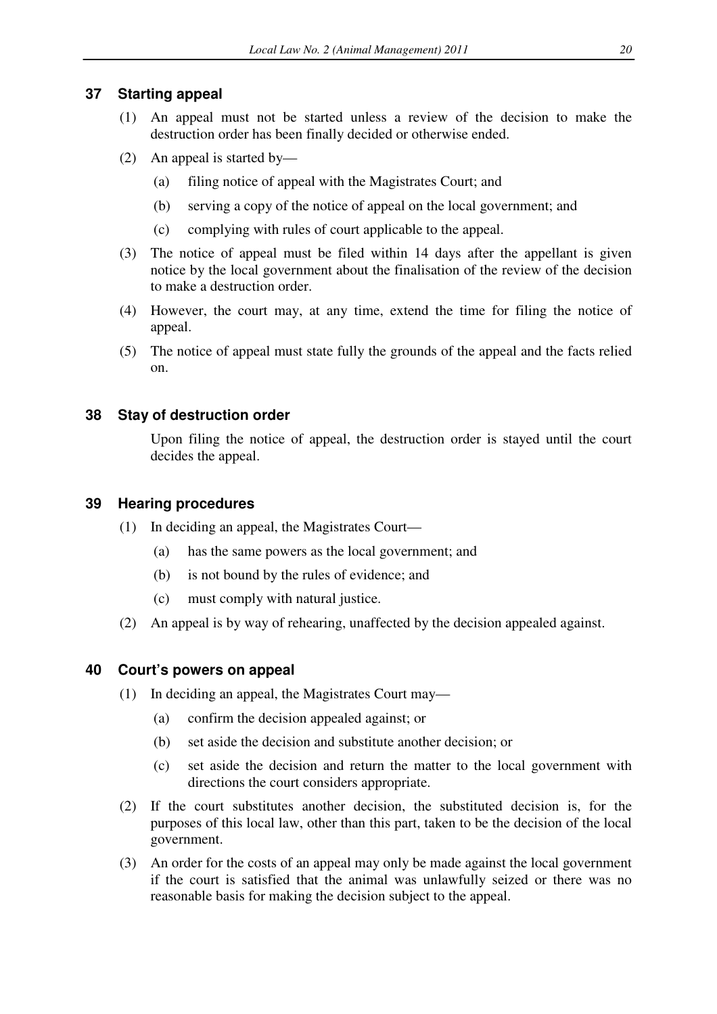## **37 Starting appeal**

- (1) An appeal must not be started unless a review of the decision to make the destruction order has been finally decided or otherwise ended.
- (2) An appeal is started by—
	- (a) filing notice of appeal with the Magistrates Court; and
	- (b) serving a copy of the notice of appeal on the local government; and
	- (c) complying with rules of court applicable to the appeal.
- (3) The notice of appeal must be filed within 14 days after the appellant is given notice by the local government about the finalisation of the review of the decision to make a destruction order.
- (4) However, the court may, at any time, extend the time for filing the notice of appeal.
- (5) The notice of appeal must state fully the grounds of the appeal and the facts relied on.

## **38 Stay of destruction order**

Upon filing the notice of appeal, the destruction order is stayed until the court decides the appeal.

### **39 Hearing procedures**

- (1) In deciding an appeal, the Magistrates Court—
	- (a) has the same powers as the local government; and
	- (b) is not bound by the rules of evidence; and
	- (c) must comply with natural justice.
- (2) An appeal is by way of rehearing, unaffected by the decision appealed against.

# **40 Court's powers on appeal**

- (1) In deciding an appeal, the Magistrates Court may—
	- (a) confirm the decision appealed against; or
	- (b) set aside the decision and substitute another decision; or
	- (c) set aside the decision and return the matter to the local government with directions the court considers appropriate.
- (2) If the court substitutes another decision, the substituted decision is, for the purposes of this local law, other than this part, taken to be the decision of the local government.
- (3) An order for the costs of an appeal may only be made against the local government if the court is satisfied that the animal was unlawfully seized or there was no reasonable basis for making the decision subject to the appeal.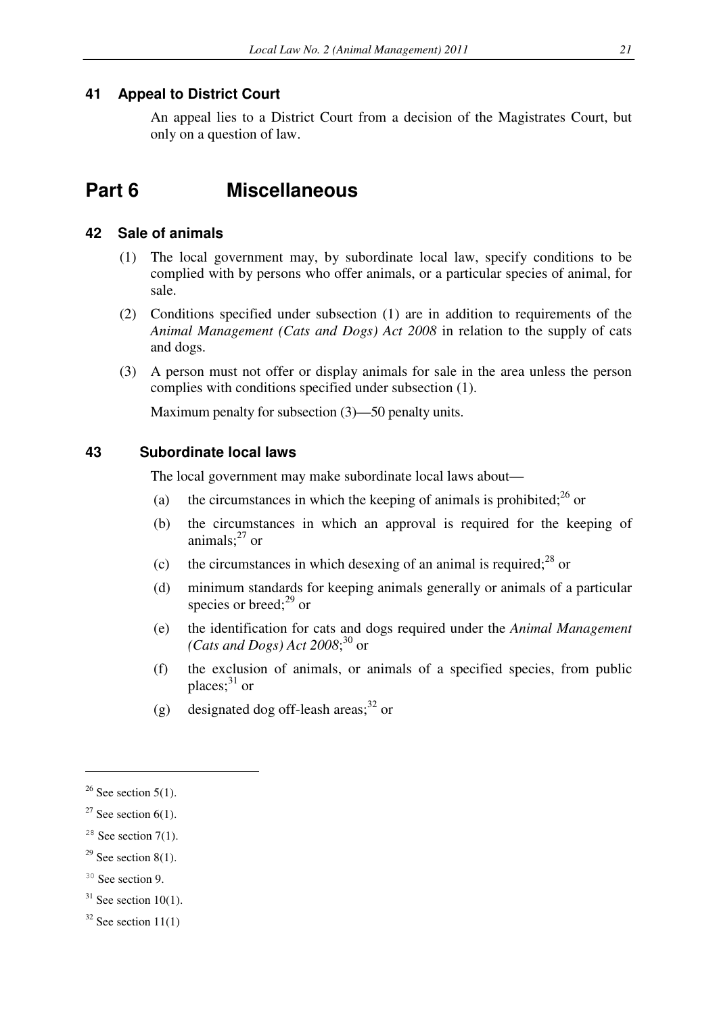## **41 Appeal to District Court**

An appeal lies to a District Court from a decision of the Magistrates Court, but only on a question of law.

# **Part 6 Miscellaneous**

#### **42 Sale of animals**

- (1) The local government may, by subordinate local law, specify conditions to be complied with by persons who offer animals, or a particular species of animal, for sale.
- (2) Conditions specified under subsection (1) are in addition to requirements of the *Animal Management (Cats and Dogs) Act 2008* in relation to the supply of cats and dogs.
- (3) A person must not offer or display animals for sale in the area unless the person complies with conditions specified under subsection (1).

Maximum penalty for subsection (3)—50 penalty units.

### **43 Subordinate local laws**

The local government may make subordinate local laws about—

- (a) the circumstances in which the keeping of animals is prohibited;<sup>26</sup> or
- (b) the circumstances in which an approval is required for the keeping of animals; $^{27}$  or
- (c) the circumstances in which desexing of an animal is required;  $28 \text{ or }$
- (d) minimum standards for keeping animals generally or animals of a particular species or breed: $^{29}$  or
- (e) the identification for cats and dogs required under the *Animal Management (Cats and Dogs) Act 2008*; <sup>30</sup> or
- (f) the exclusion of animals, or animals of a specified species, from public places; $31$  or
- (g) designated dog off-leash areas;<sup>32</sup> or

 $26$  See section 5(1).

 $27$  See section 6(1).

<sup>&</sup>lt;sup>28</sup> See section 7(1).

<sup>&</sup>lt;sup>29</sup> See section 8(1).

<sup>&</sup>lt;sup>30</sup> See section 9.

 $31$  See section 10(1).

 $32$  See section 11(1)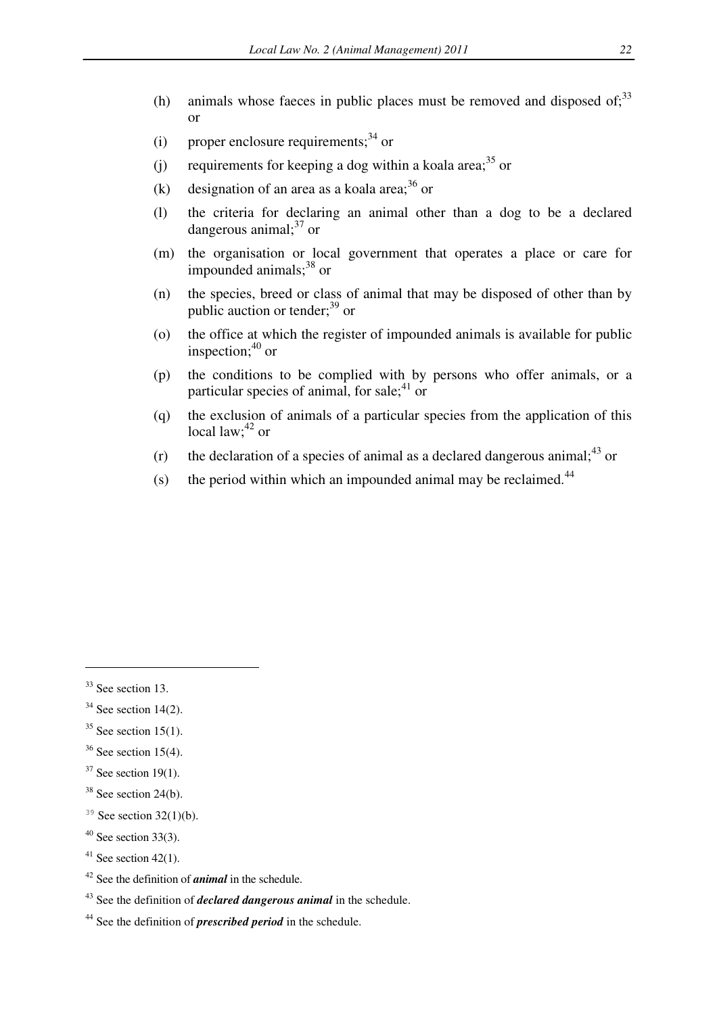- (h) animals whose faeces in public places must be removed and disposed of: $33$ or
- (i) proper enclosure requirements:  $34 \text{ or }$
- (i) requirements for keeping a dog within a koala area;<sup>35</sup> or
- (k) designation of an area as a koala area;  $36$  or
- (l) the criteria for declaring an animal other than a dog to be a declared dangerous animal; $37$  or
- (m) the organisation or local government that operates a place or care for impounded animals; $38$  or
- (n) the species, breed or class of animal that may be disposed of other than by public auction or tender; $^{39}$  or
- (o) the office at which the register of impounded animals is available for public inspection; $40$  or
- (p) the conditions to be complied with by persons who offer animals, or a particular species of animal, for sale: $41$  or
- (q) the exclusion of animals of a particular species from the application of this local law; $^{42}$  or
- (r) the declaration of a species of animal as a declared dangerous animal;  $43$  or
- (s) the period within which an impounded animal may be reclaimed.<sup>44</sup>

 $33$  See section 13.

 $34$  See section 14(2).

 $35$  See section 15(1).

 $36$  See section 15(4).

 $37$  See section 19(1).

 $38$  See section 24(b).

<sup>&</sup>lt;sup>39</sup> See section  $32(1)(b)$ .

 $40$  See section 33(3).

<sup>&</sup>lt;sup>41</sup> See section 42(1).

<sup>42</sup> See the definition of *animal* in the schedule.

<sup>43</sup> See the definition of *declared dangerous animal* in the schedule.

<sup>44</sup> See the definition of *prescribed period* in the schedule.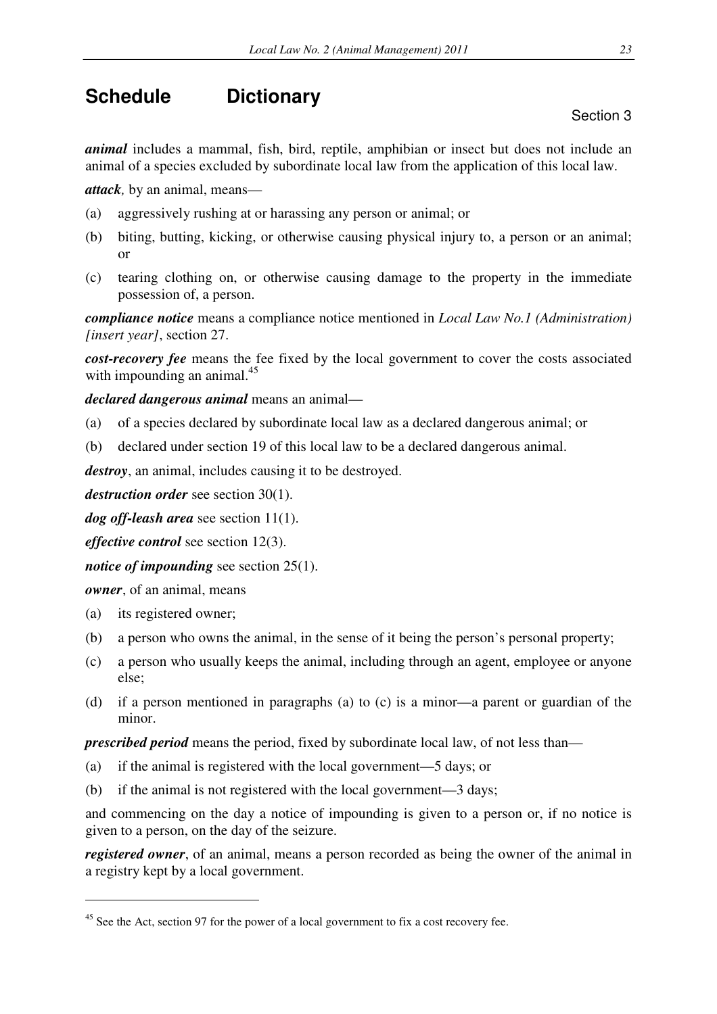# **Schedule Dictionary**

*animal* includes a mammal, fish, bird, reptile, amphibian or insect but does not include an animal of a species excluded by subordinate local law from the application of this local law.

*attack,* by an animal, means—

- (a) aggressively rushing at or harassing any person or animal; or
- (b) biting, butting, kicking, or otherwise causing physical injury to, a person or an animal; or
- (c) tearing clothing on, or otherwise causing damage to the property in the immediate possession of, a person.

*compliance notice* means a compliance notice mentioned in *Local Law No.1 (Administration) [insert year]*, section 27.

*cost-recovery fee* means the fee fixed by the local government to cover the costs associated with impounding an animal.<sup>45</sup>

*declared dangerous animal* means an animal—

- (a) of a species declared by subordinate local law as a declared dangerous animal; or
- (b) declared under section 19 of this local law to be a declared dangerous animal.

*destroy*, an animal, includes causing it to be destroyed.

*destruction order* see section 30(1).

*dog off-leash area* see section 11(1).

*effective control* see section 12(3).

*notice of impounding* see section 25(1).

*owner*, of an animal, means

(a) its registered owner;

 $\overline{a}$ 

- (b) a person who owns the animal, in the sense of it being the person's personal property;
- (c) a person who usually keeps the animal, including through an agent, employee or anyone else;
- (d) if a person mentioned in paragraphs (a) to (c) is a minor—a parent or guardian of the minor.

*prescribed period* means the period, fixed by subordinate local law, of not less than—

- (a) if the animal is registered with the local government—5 days; or
- (b) if the animal is not registered with the local government—3 days;

and commencing on the day a notice of impounding is given to a person or, if no notice is given to a person, on the day of the seizure.

*registered owner*, of an animal, means a person recorded as being the owner of the animal in a registry kept by a local government.

Section 3

<sup>&</sup>lt;sup>45</sup> See the Act, section 97 for the power of a local government to fix a cost recovery fee.